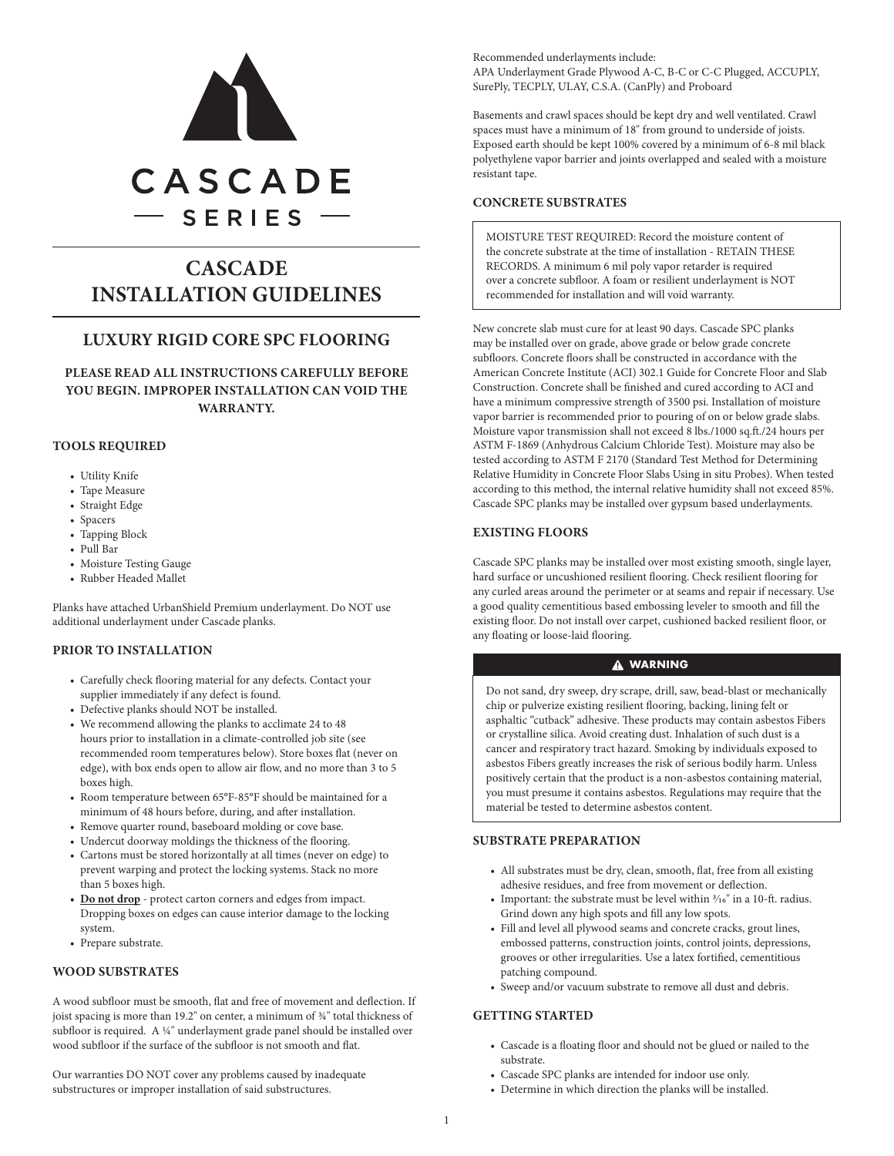

# **CASCADE INSTALLATION GUIDELINES**

## **LUXURY RIGID CORE SPC FLOORING**

**PLEASE READ ALL INSTRUCTIONS CAREFULLY BEFORE YOU BEGIN. IMPROPER INSTALLATION CAN VOID THE WARRANTY.**

## **TOOLS REQUIRED**

- Utility Knife
- Tape Measure
- Straight Edge
- Spacers
- Tapping Block
- Pull Bar
- Moisture Testing Gauge
- Rubber Headed Mallet

Planks have attached UrbanShield Premium underlayment. Do NOT use additional underlayment under Cascade planks.

## **PRIOR TO INSTALLATION**

- Carefully check flooring material for any defects. Contact your supplier immediately if any defect is found.
- Defective planks should NOT be installed.
- We recommend allowing the planks to acclimate 24 to 48 hours prior to installation in a climate-controlled job site (see recommended room temperatures below). Store boxes flat (never on edge), with box ends open to allow air flow, and no more than 3 to 5 boxes high.
- Room temperature between 65°F-85°F should be maintained for a minimum of 48 hours before, during, and after installation.
- Remove quarter round, baseboard molding or cove base.
- Undercut doorway moldings the thickness of the flooring.
- Cartons must be stored horizontally at all times (never on edge) to prevent warping and protect the locking systems. Stack no more than 5 boxes high.
- **• Do not drop** protect carton corners and edges from impact. Dropping boxes on edges can cause interior damage to the locking system.
- Prepare substrate.

## **WOOD SUBSTRATES**

A wood subfloor must be smooth, flat and free of movement and deflection. If joist spacing is more than 19.2" on center, a minimum of  $\frac{3}{4}$ " total thickness of subfloor is required. A  $44$ " underlayment grade panel should be installed over wood subfloor if the surface of the subfloor is not smooth and flat.

Our warranties DO NOT cover any problems caused by inadequate substructures or improper installation of said substructures.

Recommended underlayments include: APA Underlayment Grade Plywood A-C, B-C or C-C Plugged, ACCUPLY, SurePly, TECPLY, ULAY, C.S.A. (CanPly) and Proboard

Basements and crawl spaces should be kept dry and well ventilated. Crawl spaces must have a minimum of 18" from ground to underside of joists. Exposed earth should be kept 100% covered by a minimum of 6-8 mil black polyethylene vapor barrier and joints overlapped and sealed with a moisture resistant tape.

## **CONCRETE SUBSTRATES**

MOISTURE TEST REQUIRED: Record the moisture content of the concrete substrate at the time of installation - RETAIN THESE RECORDS. A minimum 6 mil poly vapor retarder is required over a concrete subfloor. A foam or resilient underlayment is NOT recommended for installation and will void warranty.

New concrete slab must cure for at least 90 days. Cascade SPC planks may be installed over on grade, above grade or below grade concrete subfloors. Concrete floors shall be constructed in accordance with the American Concrete Institute (ACI) 302.1 Guide for Concrete Floor and Slab Construction. Concrete shall be finished and cured according to ACI and have a minimum compressive strength of 3500 psi. Installation of moisture vapor barrier is recommended prior to pouring of on or below grade slabs. Moisture vapor transmission shall not exceed 8 lbs./1000 sq.ft./24 hours per ASTM F-1869 (Anhydrous Calcium Chloride Test). Moisture may also be tested according to ASTM F 2170 (Standard Test Method for Determining Relative Humidity in Concrete Floor Slabs Using in situ Probes). When tested according to this method, the internal relative humidity shall not exceed 85%. Cascade SPC planks may be installed over gypsum based underlayments.

## **EXISTING FLOORS**

Cascade SPC planks may be installed over most existing smooth, single layer, hard surface or uncushioned resilient flooring. Check resilient flooring for any curled areas around the perimeter or at seams and repair if necessary. Use a good quality cementitious based embossing leveler to smooth and fill the existing floor. Do not install over carpet, cushioned backed resilient floor, or any floating or loose-laid flooring.

## **A** WARNING

Do not sand, dry sweep, dry scrape, drill, saw, bead-blast or mechanically chip or pulverize existing resilient flooring, backing, lining felt or asphaltic "cutback" adhesive. These products may contain asbestos Fibers or crystalline silica. Avoid creating dust. Inhalation of such dust is a cancer and respiratory tract hazard. Smoking by individuals exposed to asbestos Fibers greatly increases the risk of serious bodily harm. Unless positively certain that the product is a non-asbestos containing material, you must presume it contains asbestos. Regulations may require that the material be tested to determine asbestos content.

## **SUBSTRATE PREPARATION**

- All substrates must be dry, clean, smooth, flat, free from all existing adhesive residues, and free from movement or deflection.
- Important: the substrate must be level within  $\frac{3}{16}$ " in a 10-ft. radius. Grind down any high spots and fill any low spots.
- Fill and level all plywood seams and concrete cracks, grout lines, embossed patterns, construction joints, control joints, depressions, grooves or other irregularities. Use a latex fortified, cementitious patching compound.
- Sweep and/or vacuum substrate to remove all dust and debris.

### **GETTING STARTED**

- Cascade is a floating floor and should not be glued or nailed to the substrate.
- Cascade SPC planks are intended for indoor use only.
- Determine in which direction the planks will be installed.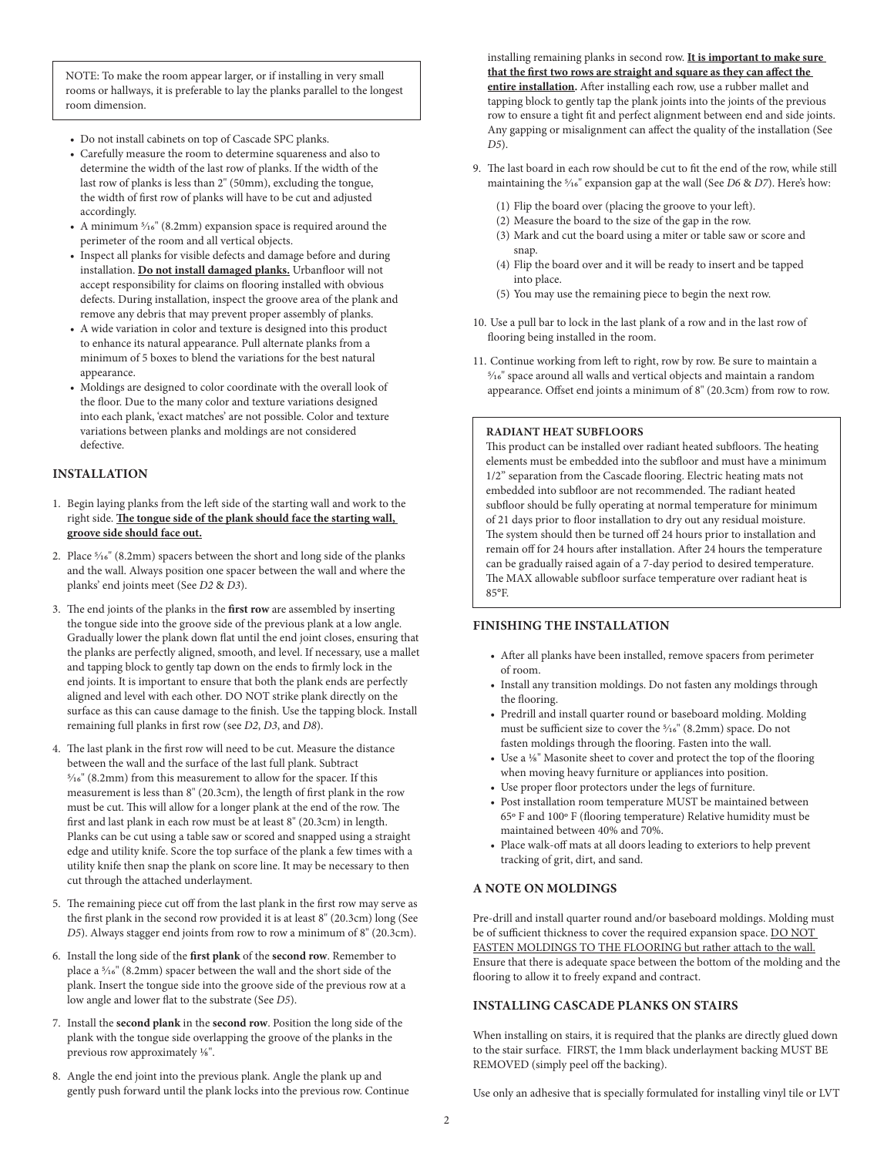NOTE: To make the room appear larger, or if installing in very small rooms or hallways, it is preferable to lay the planks parallel to the longest room dimension.

- Do not install cabinets on top of Cascade SPC planks.
- Carefully measure the room to determine squareness and also to determine the width of the last row of planks. If the width of the last row of planks is less than 2" (50mm), excluding the tongue, the width of first row of planks will have to be cut and adjusted accordingly.
- A minimum 5/16" (8.2mm) expansion space is required around the perimeter of the room and all vertical objects.
- Inspect all planks for visible defects and damage before and during installation. **Do not install damaged planks.** Urbanfloor will not accept responsibility for claims on flooring installed with obvious defects. During installation, inspect the groove area of the plank and remove any debris that may prevent proper assembly of planks.
- A wide variation in color and texture is designed into this product to enhance its natural appearance. Pull alternate planks from a minimum of 5 boxes to blend the variations for the best natural appearance.
- Moldings are designed to color coordinate with the overall look of the floor. Due to the many color and texture variations designed into each plank, 'exact matches' are not possible. Color and texture variations between planks and moldings are not considered defective.

## **INSTALLATION**

- 1. Begin laying planks from the left side of the starting wall and work to the right side. **The tongue side of the plank should face the starting wall, groove side should face out.**
- 2. Place 5/16" (8.2mm) spacers between the short and long side of the planks and the wall. Always position one spacer between the wall and where the planks' end joints meet (See *D2* & *D3*).
- 3. The end joints of the planks in the **first row** are assembled by inserting the tongue side into the groove side of the previous plank at a low angle. Gradually lower the plank down flat until the end joint closes, ensuring that the planks are perfectly aligned, smooth, and level. If necessary, use a mallet and tapping block to gently tap down on the ends to firmly lock in the end joints. It is important to ensure that both the plank ends are perfectly aligned and level with each other. DO NOT strike plank directly on the surface as this can cause damage to the finish. Use the tapping block. Install remaining full planks in first row (see *D2*, *D3*, and *D8*).
- 4. The last plank in the first row will need to be cut. Measure the distance between the wall and the surface of the last full plank. Subtract 5/16" (8.2mm) from this measurement to allow for the spacer. If this measurement is less than 8" (20.3cm), the length of first plank in the row must be cut. This will allow for a longer plank at the end of the row. The first and last plank in each row must be at least 8" (20.3cm) in length. Planks can be cut using a table saw or scored and snapped using a straight edge and utility knife. Score the top surface of the plank a few times with a utility knife then snap the plank on score line. It may be necessary to then cut through the attached underlayment.
- 5. The remaining piece cut off from the last plank in the first row may serve as the first plank in the second row provided it is at least 8" (20.3cm) long (See *D5*). Always stagger end joints from row to row a minimum of 8" (20.3cm).
- 6. Install the long side of the **first plank** of the **second row**. Remember to place a 5/16" (8.2mm) spacer between the wall and the short side of the plank. Insert the tongue side into the groove side of the previous row at a low angle and lower flat to the substrate (See *D5*).
- 7. Install the **second plank** in the **second row**. Position the long side of the plank with the tongue side overlapping the groove of the planks in the previous row approximately  $\frac{1}{8}$ ".
- 8. Angle the end joint into the previous plank. Angle the plank up and gently push forward until the plank locks into the previous row. Continue

installing remaining planks in second row. **It is important to make sure that the first two rows are straight and square as they can affect the entire installation.** After installing each row, use a rubber mallet and tapping block to gently tap the plank joints into the joints of the previous row to ensure a tight fit and perfect alignment between end and side joints. Any gapping or misalignment can affect the quality of the installation (See *D5*).

- 9. The last board in each row should be cut to fit the end of the row, while still maintaining the 5/16" expansion gap at the wall (See *D6* & *D7*). Here's how:
	- (1) Flip the board over (placing the groove to your left).
	- (2) Measure the board to the size of the gap in the row.
	- (3) Mark and cut the board using a miter or table saw or score and snap.
	- (4) Flip the board over and it will be ready to insert and be tapped into place.
	- (5) You may use the remaining piece to begin the next row.
- 10. Use a pull bar to lock in the last plank of a row and in the last row of flooring being installed in the room.
- 11. Continue working from left to right, row by row. Be sure to maintain a 5/16" space around all walls and vertical objects and maintain a random appearance. Offset end joints a minimum of 8" (20.3cm) from row to row.

#### **RADIANT HEAT SUBFLOORS**

This product can be installed over radiant heated subfloors. The heating elements must be embedded into the subfloor and must have a minimum 1/2" separation from the Cascade flooring. Electric heating mats not embedded into subfloor are not recommended. The radiant heated subfloor should be fully operating at normal temperature for minimum of 21 days prior to floor installation to dry out any residual moisture. The system should then be turned off 24 hours prior to installation and remain off for 24 hours after installation. After 24 hours the temperature can be gradually raised again of a 7-day period to desired temperature. The MAX allowable subfloor surface temperature over radiant heat is 85°F.

## **FINISHING THE INSTALLATION**

- After all planks have been installed, remove spacers from perimeter of room.
- Install any transition moldings. Do not fasten any moldings through the flooring.
- Predrill and install quarter round or baseboard molding. Molding must be sufficient size to cover the 5/16" (8.2mm) space. Do not fasten moldings through the flooring. Fasten into the wall.
- Use a 1/8" Masonite sheet to cover and protect the top of the flooring when moving heavy furniture or appliances into position.
- Use proper floor protectors under the legs of furniture.
- Post installation room temperature MUST be maintained between 65º F and 100º F (flooring temperature) Relative humidity must be maintained between 40% and 70%.
- Place walk-off mats at all doors leading to exteriors to help prevent tracking of grit, dirt, and sand.

## **A NOTE ON MOLDINGS**

Pre-drill and install quarter round and/or baseboard moldings. Molding must be of sufficient thickness to cover the required expansion space. DO NOT FASTEN MOLDINGS TO THE FLOORING but rather attach to the wall. Ensure that there is adequate space between the bottom of the molding and the flooring to allow it to freely expand and contract.

## **INSTALLING CASCADE PLANKS ON STAIRS**

When installing on stairs, it is required that the planks are directly glued down to the stair surface. FIRST, the 1mm black underlayment backing MUST BE REMOVED (simply peel off the backing).

Use only an adhesive that is specially formulated for installing vinyl tile or LVT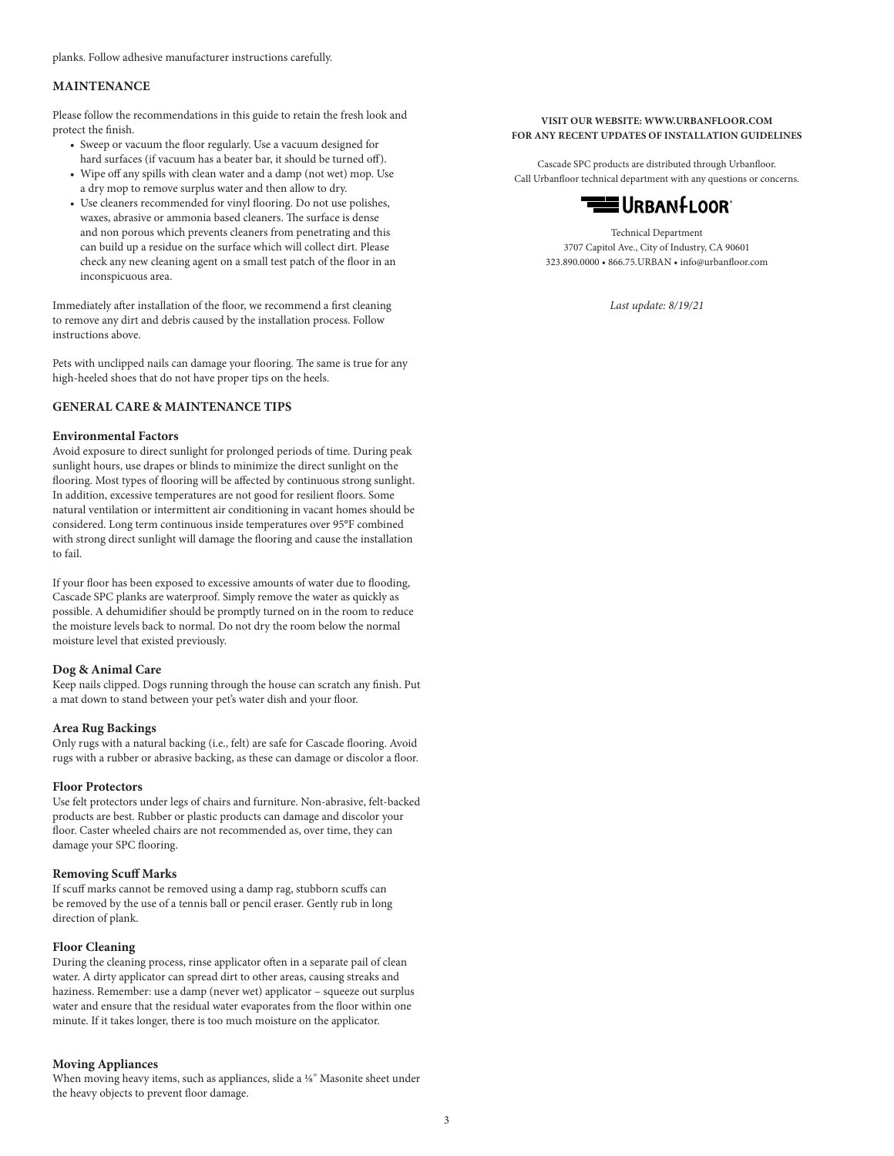planks. Follow adhesive manufacturer instructions carefully.

#### **MAINTENANCE**

Please follow the recommendations in this guide to retain the fresh look and protect the finish.

- Sweep or vacuum the floor regularly. Use a vacuum designed for hard surfaces (if vacuum has a beater bar, it should be turned off).
- Wipe off any spills with clean water and a damp (not wet) mop. Use a dry mop to remove surplus water and then allow to dry.
- Use cleaners recommended for vinyl flooring. Do not use polishes, waxes, abrasive or ammonia based cleaners. The surface is dense and non porous which prevents cleaners from penetrating and this can build up a residue on the surface which will collect dirt. Please check any new cleaning agent on a small test patch of the floor in an inconspicuous area.

Immediately after installation of the floor, we recommend a first cleaning to remove any dirt and debris caused by the installation process. Follow instructions above.

Pets with unclipped nails can damage your flooring. The same is true for any high-heeled shoes that do not have proper tips on the heels.

#### **GENERAL CARE & MAINTENANCE TIPS**

#### **Environmental Factors**

Avoid exposure to direct sunlight for prolonged periods of time. During peak sunlight hours, use drapes or blinds to minimize the direct sunlight on the flooring. Most types of flooring will be affected by continuous strong sunlight. In addition, excessive temperatures are not good for resilient floors. Some natural ventilation or intermittent air conditioning in vacant homes should be considered. Long term continuous inside temperatures over 95°F combined with strong direct sunlight will damage the flooring and cause the installation to fail.

If your floor has been exposed to excessive amounts of water due to flooding, Cascade SPC planks are waterproof. Simply remove the water as quickly as possible. A dehumidifier should be promptly turned on in the room to reduce the moisture levels back to normal. Do not dry the room below the normal moisture level that existed previously.

#### **Dog & Animal Care**

Keep nails clipped. Dogs running through the house can scratch any finish. Put a mat down to stand between your pet's water dish and your floor.

#### **Area Rug Backings**

Only rugs with a natural backing (i.e., felt) are safe for Cascade flooring. Avoid rugs with a rubber or abrasive backing, as these can damage or discolor a floor.

#### **Floor Protectors**

Use felt protectors under legs of chairs and furniture. Non-abrasive, felt-backed products are best. Rubber or plastic products can damage and discolor your floor. Caster wheeled chairs are not recommended as, over time, they can damage your SPC flooring.

#### **Removing Scuff Marks**

If scuff marks cannot be removed using a damp rag, stubborn scuffs can be removed by the use of a tennis ball or pencil eraser. Gently rub in long direction of plank.

#### **Floor Cleaning**

During the cleaning process, rinse applicator often in a separate pail of clean water. A dirty applicator can spread dirt to other areas, causing streaks and haziness. Remember: use a damp (never wet) applicator – squeeze out surplus water and ensure that the residual water evaporates from the floor within one minute. If it takes longer, there is too much moisture on the applicator.

#### **Moving Appliances**

When moving heavy items, such as appliances, slide a 1/8" Masonite sheet under the heavy objects to prevent floor damage.

#### **VISIT OUR WEBSITE: WWW.URBANFLOOR.COM FOR ANY RECENT UPDATES OF INSTALLATION GUIDELINES**

Cascade SPC products are distributed through Urbanfloor. Call Urbanfloor technical department with any questions or concerns.



Technical Department 3707 Capitol Ave., City of Industry, CA 90601 323.890.0000 • 866.75.URBAN • info@urbanfloor.com

*Last update: 8/19/21*